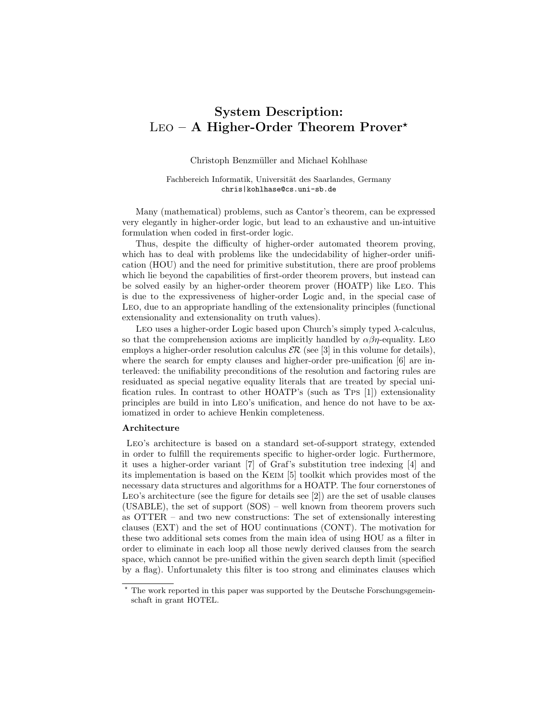# System Description:  $LEO - A$  Higher-Order Theorem Prover<sup>\*</sup>

Christoph Benzmüller and Michael Kohlhase

Fachbereich Informatik, Universität des Saarlandes, Germany chris|kohlhase@cs.uni-sb.de

Many (mathematical) problems, such as Cantor's theorem, can be expressed very elegantly in higher-order logic, but lead to an exhaustive and un-intuitive formulation when coded in first-order logic.

Thus, despite the difficulty of higher-order automated theorem proving, which has to deal with problems like the undecidability of higher-order unification (HOU) and the need for primitive substitution, there are proof problems which lie beyond the capabilities of first-order theorem provers, but instead can be solved easily by an higher-order theorem prover (HOATP) like Leo. This is due to the expressiveness of higher-order Logic and, in the special case of Leo, due to an appropriate handling of the extensionality principles (functional extensionality and extensionality on truth values).

Leo uses a higher-order Logic based upon Church's simply typed  $\lambda$ -calculus, so that the comprehension axioms are implicitly handled by  $\alpha\beta\eta$ -equality. Leo employs a higher-order resolution calculus  $\mathcal{ER}$  (see [3] in this volume for details), where the search for empty clauses and higher-order pre-unification [6] are interleaved: the unifiability preconditions of the resolution and factoring rules are residuated as special negative equality literals that are treated by special unification rules. In contrast to other HOATP's (such as Tps [1]) extensionality principles are build in into Leo's unification, and hence do not have to be axiomatized in order to achieve Henkin completeness.

## Architecture

Leo's architecture is based on a standard set-of-support strategy, extended in order to fulfill the requirements specific to higher-order logic. Furthermore, it uses a higher-order variant [7] of Graf's substitution tree indexing [4] and its implementation is based on the Keim [5] toolkit which provides most of the necessary data structures and algorithms for a HOATP. The four cornerstones of Leo's architecture (see the figure for details see [2]) are the set of usable clauses (USABLE), the set of support (SOS) – well known from theorem provers such as OTTER – and two new constructions: The set of extensionally interesting clauses (EXT) and the set of HOU continuations (CONT). The motivation for these two additional sets comes from the main idea of using HOU as a filter in order to eliminate in each loop all those newly derived clauses from the search space, which cannot be pre-unified within the given search depth limit (specified by a flag). Unfortunalety this filter is too strong and eliminates clauses which

<sup>?</sup> The work reported in this paper was supported by the Deutsche Forschungsgemeinschaft in grant HOTEL.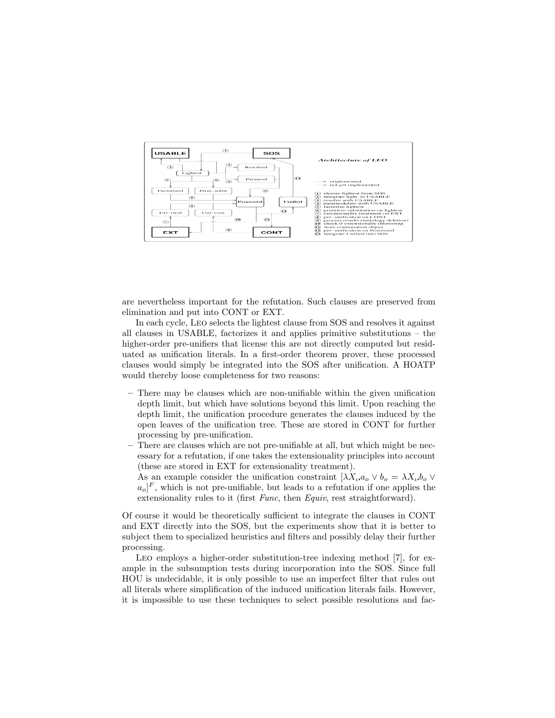

are nevertheless important for the refutation. Such clauses are preserved from elimination and put into CONT or EXT.

In each cycle, Leo selects the lightest clause from SOS and resolves it against all clauses in USABLE, factorizes it and applies primitive substitutions – the higher-order pre-unifiers that license this are not directly computed but residuated as unification literals. In a first-order theorem prover, these processed clauses would simply be integrated into the SOS after unification. A HOATP would thereby loose completeness for two reasons:

- There may be clauses which are non-unifiable within the given unification depth limit, but which have solutions beyond this limit. Upon reaching the depth limit, the unification procedure generates the clauses induced by the open leaves of the unification tree. These are stored in CONT for further processing by pre-unification.
- There are clauses which are not pre-unifiable at all, but which might be necessary for a refutation, if one takes the extensionality principles into account (these are stored in EXT for extensionality treatment).
	- As an example consider the unification constraint  $[\lambda X_i a_o \vee b_o = \lambda X_i b_o \vee b_o]$  $[a_o]^F$ , which is not pre-unifiable, but leads to a refutation if one applies the extensionality rules to it (first Func, then Equiv, rest straightforward).

Of course it would be theoretically sufficient to integrate the clauses in CONT and EXT directly into the SOS, but the experiments show that it is better to subject them to specialized heuristics and filters and possibly delay their further processing.

Leo employs a higher-order substitution-tree indexing method [7], for example in the subsumption tests during incorporation into the SOS. Since full HOU is undecidable, it is only possible to use an imperfect filter that rules out all literals where simplification of the induced unification literals fails. However, it is impossible to use these techniques to select possible resolutions and fac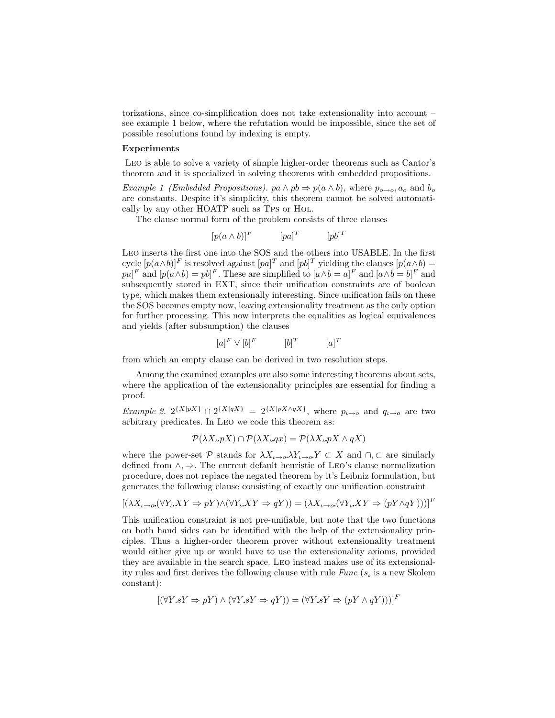torizations, since co-simplification does not take extensionality into account – see example 1 below, where the refutation would be impossible, since the set of possible resolutions found by indexing is empty.

#### Experiments

Leo is able to solve a variety of simple higher-order theorems such as Cantor's theorem and it is specialized in solving theorems with embedded propositions.

Example 1 (Embedded Propositions). pa  $\land$  pb  $\Rightarrow$  p(a  $\land$  b), where  $p_{o\rightarrow o}$ ,  $a_o$  and  $b_o$ are constants. Despite it's simplicity, this theorem cannot be solved automatically by any other HOATP such as Tps or Hol.

The clause normal form of the problem consists of three clauses

$$
[p(a \wedge b)]^F \hspace{1cm} [pa]^T \hspace{1cm} [pb]^T
$$

Leo inserts the first one into the SOS and the others into USABLE. In the first cycle  $[p(a \wedge b)]^F$  is resolved against  $[pa]^T$  and  $[pb]^T$  yielding the clauses  $[p(a \wedge b)]^F$  $pa|F$  and  $[p(a \wedge b) = pb]F$ . These are simplified to  $[a \wedge b = a]F$  and  $[a \wedge b = b]F$  and subsequently stored in EXT, since their unification constraints are of boolean type, which makes them extensionally interesting. Since unification fails on these the SOS becomes empty now, leaving extensionality treatment as the only option for further processing. This now interprets the equalities as logical equivalences and yields (after subsumption) the clauses

$$
[a]^F \vee [b]^F \qquad [b]^T \qquad [a]^T
$$

from which an empty clause can be derived in two resolution steps.

Among the examined examples are also some interesting theorems about sets, where the application of the extensionality principles are essential for finding a proof.

Example 2.  $2^{\{X|pX\}} \cap 2^{\{X|qX\}} = 2^{\{X|pX \wedge qX\}}$ , where  $p_{\iota \to o}$  and  $q_{\iota \to o}$  are two arbitrary predicates. In Leo we code this theorem as:

$$
\mathcal{P}(\lambda X_{\iota} pX) \cap \mathcal{P}(\lambda X_{\iota} qx) = \mathcal{P}(\lambda X_{\iota} pX \wedge qX)
$$

where the power-set P stands for  $\lambda X_{\iota \to o} \lambda Y_{\iota \to o} Y \subset X$  and  $\cap, \subset$  are similarly defined from  $\land$ ,  $\Rightarrow$ . The current default heuristic of LEO's clause normalization procedure, does not replace the negated theorem by it's Leibniz formulation, but generates the following clause consisting of exactly one unification constraint

$$
[(\lambda X_{\iota \to o}(\forall Y_{\iota}. XY \Rightarrow pY) \land (\forall Y_{\iota}. XY \Rightarrow qY)) = (\lambda X_{\iota \to o}(\forall Y_{\iota}. XY \Rightarrow (pY \land qY)))]^F
$$

This unification constraint is not pre-unifiable, but note that the two functions on both hand sides can be identified with the help of the extensionality principles. Thus a higher-order theorem prover without extensionality treatment would either give up or would have to use the extensionality axioms, provided they are available in the search space. Leo instead makes use of its extensionality rules and first derives the following clause with rule  $Func(s<sub>t</sub>)$  is a new Skolem constant):

$$
[(\forall Y \, sY \Rightarrow pY) \land (\forall Y \, sY \Rightarrow qY)) = (\forall Y \, sY \Rightarrow (pY \land qY)))]^F
$$